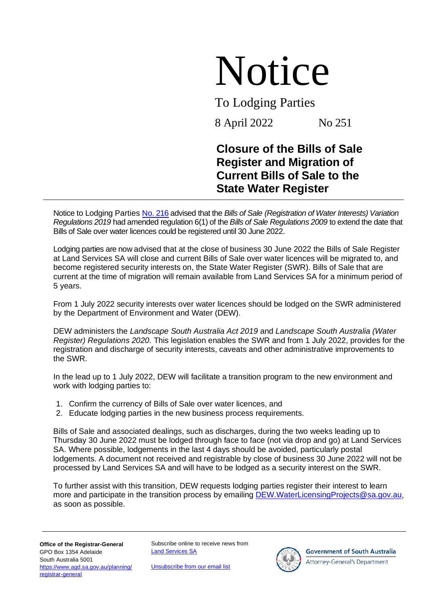## Notice

To Lodging Parties

8 April 2022 No 251

## **Closure of the Bills of Sale Register and Migration of Current Bills of Sale to the State Water Register**

Notice to Lodging Parties No. [216](https://landservices.com.au/__data/assets/pdf_file/0026/4949/NTLP_216-Bills-of-Sale-over-Water-Licences.pdf) advised that the *Bills of Sale (Registration of Water Interests) Variation Regulations 2019* had amended regulation 6(1) of the *Bills of Sale Regulations 2009* to extend the date that Bills of Sale over water licences could be registered until 30 June 2022.

Lodging parties are now advised that at the close of business 30 June 2022 the Bills of Sale Register at Land Services SA will close and current Bills of Sale over water licences will be migrated to, and become registered security interests on, the State Water Register (SWR). Bills of Sale that are current at the time of migration will remain available from Land Services SA for a minimum period of 5 years.

From 1 July 2022 security interests over water licences should be lodged on the SWR administered by the Department of Environment and Water (DEW).

DEW administers the *Landscape South Australia Act 2019* and *Landscape South Australia (Water Register) Regulations 2020*. This legislation enables the SWR and from 1 July 2022, provides for the registration and discharge of security interests, caveats and other administrative improvements to the SWR.

In the lead up to 1 July 2022, DEW will facilitate a transition program to the new environment and work with lodging parties to:

- 1. Confirm the currency of Bills of Sale over water licences, and
- 2. Educate lodging parties in the new business process requirements.

Bills of Sale and associated dealings, such as discharges, during the two weeks leading up to Thursday 30 June 2022 must be lodged through face to face (not via drop and go) at Land Services SA. Where possible, lodgements in the last 4 days should be avoided, particularly postal lodgements. A document not received and registrable by close of business 30 June 2022 will not be processed by Land Services SA and will have to be lodged as a security interest on the SWR.

To further assist with this transition, DEW requests lodging parties register their interest to learn more and participate in the transition process by emailing [DEW.WaterLicensingProjects@sa.gov.au,](mailto:DEW.WaterLicensingProjects@sa.gov.au) as soon as possible.

Subscribe online to receive news from [Land Services SA](https://landservices.com.au/newsroom/subscribe-to-land-services-sa)

[Unsubscribe from our email list](mailto:communications@landservices.com.au?subject=Unsubscribe)



**Government of South Australia** 

Attorney-General's Department